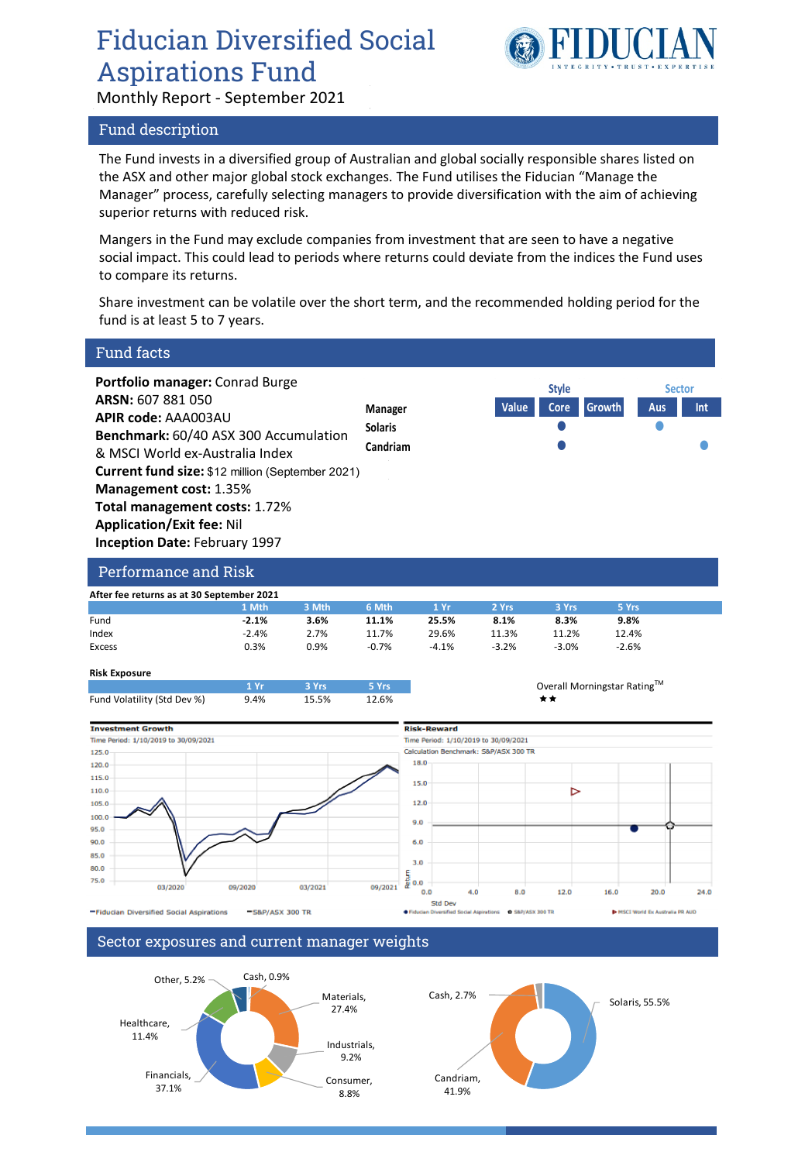# Fiducian Diversified Social Aspirations Fund

Monthly Report - September 2021



# Fund description

The Fund invests in a diversified group of Australian and global socially responsible shares listed on the ASX and other major global stock exchanges. The Fund utilises the Fiducian "Manage the Manager" process, carefully selecting managers to provide diversification with the aim of achieving superior returns with reduced risk.

Mangers in the Fund may exclude companies from investment that are seen to have a negative social impact. This could lead to periods where returns could deviate from the indices the Fund uses to compare its returns.

Share investment can be volatile over the short term, and the recommended holding period for the fund is at least 5 to 7 years.

| <b>Fund facts</b>                                                                                                                                                                                                                                                                                                                                                |                                      |         |                                       |                                                          |            |                             |         |                                |      |
|------------------------------------------------------------------------------------------------------------------------------------------------------------------------------------------------------------------------------------------------------------------------------------------------------------------------------------------------------------------|--------------------------------------|---------|---------------------------------------|----------------------------------------------------------|------------|-----------------------------|---------|--------------------------------|------|
| Portfolio manager: Conrad Burge<br>ARSN: 607 881 050<br><b>APIR code: AAA003AU</b><br>Benchmark: 60/40 ASX 300 Accumulation<br>& MSCI World ex-Australia Index<br><b>Current fund size: \$12 million (September 2021)</b><br>Management cost: 1.35%<br>Total management costs: 1.72%<br><b>Application/Exit fee: Nil</b><br><b>Inception Date: February 1997</b> |                                      |         | Manager<br><b>Solaris</b><br>Candriam |                                                          | Value      | <b>Style</b><br>Core        | Growth  | <b>Sector</b><br>Aus           | Int  |
| Performance and Risk                                                                                                                                                                                                                                                                                                                                             |                                      |         |                                       |                                                          |            |                             |         |                                |      |
| After fee returns as at 30 September 2021                                                                                                                                                                                                                                                                                                                        |                                      |         |                                       |                                                          |            |                             |         |                                |      |
|                                                                                                                                                                                                                                                                                                                                                                  | 1 Mth                                | 3 Mth   | 6 Mth                                 | 1Yr                                                      | 2 Yrs      | 3 Yrs                       | 5 Yrs   |                                |      |
| Fund                                                                                                                                                                                                                                                                                                                                                             | $-2.1%$                              | 3.6%    | 11.1%                                 | 25.5%                                                    | 8.1%       | 8.3%                        | 9.8%    |                                |      |
| Index                                                                                                                                                                                                                                                                                                                                                            | $-2.4%$                              | 2.7%    | 11.7%                                 | 29.6%                                                    | 11.3%      | 11.2%                       | 12.4%   |                                |      |
| <b>Excess</b>                                                                                                                                                                                                                                                                                                                                                    | 0.3%                                 | 0.9%    | $-0.7%$                               | $-4.1%$                                                  | $-3.2%$    | $-3.0%$                     | $-2.6%$ |                                |      |
| <b>Risk Exposure</b>                                                                                                                                                                                                                                                                                                                                             |                                      |         |                                       |                                                          |            |                             |         |                                |      |
|                                                                                                                                                                                                                                                                                                                                                                  | 1 Yr                                 | 3 Yrs   | 5 Yrs                                 |                                                          |            | Overall Morningstar Rating™ |         |                                |      |
| Fund Volatility (Std Dev %)                                                                                                                                                                                                                                                                                                                                      | 9.4%                                 | 15.5%   | 12.6%                                 |                                                          |            | **                          |         |                                |      |
| <b>Investment Growth</b>                                                                                                                                                                                                                                                                                                                                         |                                      |         |                                       | <b>Risk-Reward</b>                                       |            |                             |         |                                |      |
| Time Period: 1/10/2019 to 30/09/2021                                                                                                                                                                                                                                                                                                                             | Time Period: 1/10/2019 to 30/09/2021 |         |                                       |                                                          |            |                             |         |                                |      |
| 125.0                                                                                                                                                                                                                                                                                                                                                            |                                      |         |                                       | Calculation Benchmark: S&P/ASX 300 TR                    |            |                             |         |                                |      |
| 120.0                                                                                                                                                                                                                                                                                                                                                            |                                      |         |                                       | 18.0                                                     |            |                             |         |                                |      |
| 115.0                                                                                                                                                                                                                                                                                                                                                            |                                      |         |                                       |                                                          |            |                             |         |                                |      |
| 110.0                                                                                                                                                                                                                                                                                                                                                            |                                      |         |                                       | 15.0                                                     |            | ⊳                           |         |                                |      |
| 105.0                                                                                                                                                                                                                                                                                                                                                            |                                      |         |                                       | 12.0                                                     |            |                             |         |                                |      |
| 100.0                                                                                                                                                                                                                                                                                                                                                            |                                      |         |                                       |                                                          |            |                             |         |                                |      |
| 95.0                                                                                                                                                                                                                                                                                                                                                             |                                      |         |                                       | 9.0                                                      |            |                             |         |                                |      |
| 90.0                                                                                                                                                                                                                                                                                                                                                             |                                      |         |                                       | 6.0                                                      |            |                             |         |                                |      |
|                                                                                                                                                                                                                                                                                                                                                                  |                                      |         |                                       |                                                          |            |                             |         |                                |      |
| 85.0                                                                                                                                                                                                                                                                                                                                                             |                                      |         |                                       | 3.0                                                      |            |                             |         |                                |      |
| 80.0                                                                                                                                                                                                                                                                                                                                                             |                                      |         |                                       | Return                                                   |            |                             |         |                                |      |
| 75.0<br>03/2020                                                                                                                                                                                                                                                                                                                                                  | 09/2020                              | 03/2021 | 09/2021                               | 0.0                                                      |            |                             |         |                                |      |
|                                                                                                                                                                                                                                                                                                                                                                  |                                      |         |                                       | 0.0<br>Std Dev                                           | 4.0<br>8.0 | 12.0                        | 16.0    | 20.0                           | 24.0 |
| -Fiducian Diversified Social Aspirations                                                                                                                                                                                                                                                                                                                         | -S&P/ASX 300 TR                      |         |                                       | Fiducian Diversified Social Aspirations @ S&P/ASX 300 TR |            |                             |         | MSCI World Ex Australia PR AUD |      |
|                                                                                                                                                                                                                                                                                                                                                                  |                                      |         |                                       |                                                          |            |                             |         |                                |      |
|                                                                                                                                                                                                                                                                                                                                                                  |                                      |         |                                       |                                                          |            |                             |         |                                |      |

## Sector exposures and current manager weights